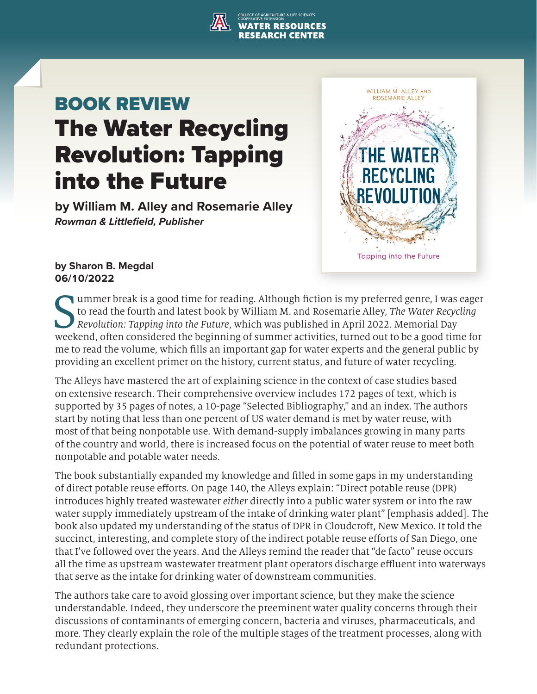## **ILTURE & LIFE SCIENCES WATER RESOURCES**

# BOOK REVIEW The Water Recycling Revolution: Tapping into the Future

**by William M. Alley and Rosemarie Alley** *Rowman & Littlefield, Publisher*



### **by Sharon B. Megdal 06/10/2022**

Solution: Tapping into the Future, which was published in April 2022. Memorial Day<br>weekend, often considered the beginning of summer activities, turned out to be a good time for ummer break is a good time for reading. Although fiction is my preferred genre, I was eager to read the fourth and latest book by William M. and Rosemarie Alley, *The Water Recycling Revolution: Tapping into the Future*, which was published in April 2022. Memorial Day me to read the volume, which fills an important gap for water experts and the general public by providing an excellent primer on the history, current status, and future of water recycling.

The Alleys have mastered the art of explaining science in the context of case studies based on extensive research. Their comprehensive overview includes 172 pages of text, which is supported by 35 pages of notes, a 10-page "Selected Bibliography," and an index. The authors start by noting that less than one percent of US water demand is met by water reuse, with most of that being nonpotable use. With demand-supply imbalances growing in many parts of the country and world, there is increased focus on the potential of water reuse to meet both nonpotable and potable water needs.

The book substantially expanded my knowledge and filled in some gaps in my understanding of direct potable reuse efforts. On page 140, the Alleys explain: "Direct potable reuse (DPR) introduces highly treated wastewater *either* directly into a public water system or into the raw water supply immediately upstream of the intake of drinking water plant" [emphasis added]. The book also updated my understanding of the status of DPR in Cloudcroft, New Mexico. It told the succinct, interesting, and complete story of the indirect potable reuse efforts of San Diego, one that I've followed over the years. And the Alleys remind the reader that "de facto" reuse occurs all the time as upstream wastewater treatment plant operators discharge effluent into waterways that serve as the intake for drinking water of downstream communities.

The authors take care to avoid glossing over important science, but they make the science understandable. Indeed, they underscore the preeminent water quality concerns through their discussions of contaminants of emerging concern, bacteria and viruses, pharmaceuticals, and more. They clearly explain the role of the multiple stages of the treatment processes, along with redundant protections.